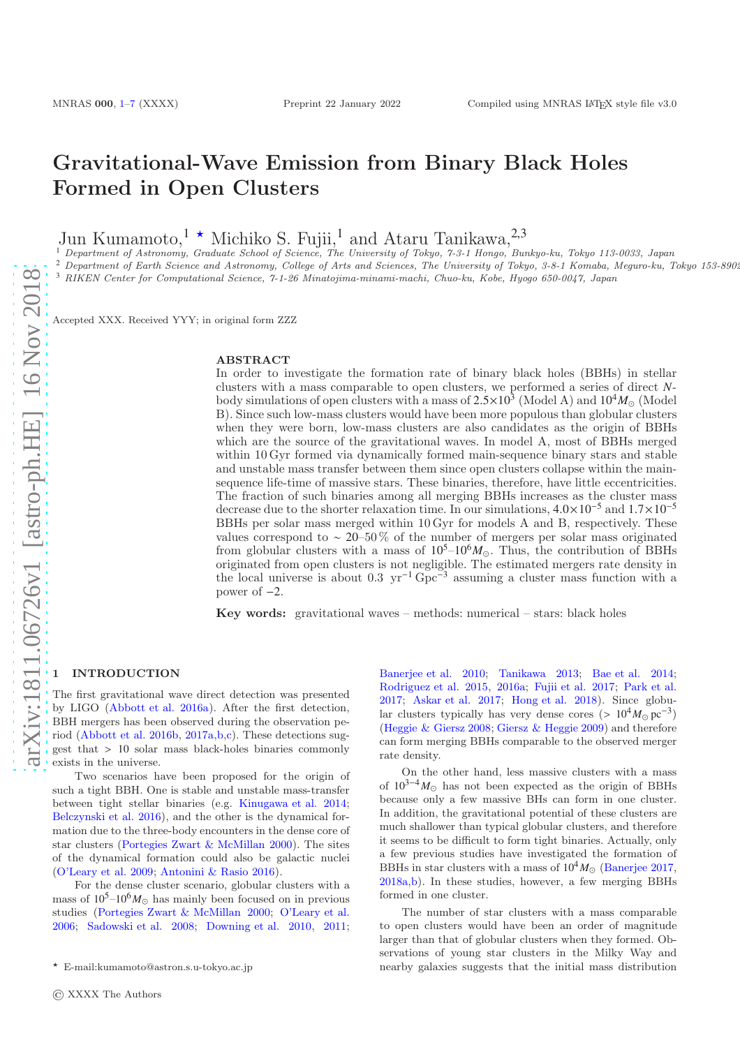# Gravitational-Wave Emission from Binary Black Holes Formed in Open Clusters

Jun Kumamoto,<sup>1</sup>  $\star$  Michiko S. Fujii,<sup>1</sup> and Ataru Tanikawa,<sup>2,3</sup>

<sup>1</sup> Department of Astronomy, Graduate School of Science, The University of Tokyo, 7-3-1 Hongo, Bunkyo-ku, Tokyo 113-0033, Japan <sup>2</sup> Department of Earth Science and Astronomy, College of Arts and Sciences, The University of Tokyo, 3-8-1 Komaba, Meguro-ku, Tokyo 153-890. <sup>3</sup> RIKEN Center for Computational Science, 7-1-26 Minatojima-minami-machi, Chuo-ku, Kobe, Hyogo 650-0047, Japan

Accepted XXX. Received YYY; in original form ZZZ

#### ABSTRACT

In order to investigate the formation rate of binary black holes (BBHs) in stellar clusters with a mass comparable to open clusters, we performed a series of direct *N*body simulations of open clusters with a mass of  $2.5\times10^3$  (Model A) and  $10^4M_\odot$  (Model B). Since such low-mass clusters would have been more populous than globular clusters when they were born, low-mass clusters are also candidates as the origin of BBHs which are the source of the gravitational waves. In model A, most of BBHs merged within 10 Gyr formed via dynamically formed main-sequence binary stars and stable and unstable mass transfer between them since open clusters collapse within the mainsequence life-time of massive stars. These binaries, therefore, have little eccentricities. The fraction of such binaries among all merging BBHs increases as the cluster mass decrease due to the shorter relaxation time. In our simulations, 4.0×10−<sup>5</sup> and 1.7×10−<sup>5</sup> BBHs per solar mass merged within 10 Gyr for models A and B, respectively. These values correspond to ∼ 20–50% of the number of mergers per solar mass originated from globular clusters with a mass of  $10^5-10^6M_{\odot}$ . Thus, the contribution of BBHs originated from open clusters is not negligible. The estimated mergers rate density in the local universe is about 0.3 yr<sup>-1</sup> Gpc<sup>-3</sup> assuming a cluster mass function with a power of −2.

Key words: gravitational waves – methods: numerical – stars: black holes

## <span id="page-0-0"></span>**INTRODUCTION**

The first gravitational wave direct detection was presented by LIGO [\(Abbott et al. 2016a](#page-6-0)). After the first detection, BBH mergers has been observed during the observation period [\(Abbott et al. 2016b,](#page-6-1) [2017a](#page-6-2)[,b](#page-6-3)[,c](#page-6-4)). These detections suggest that > 10 solar mass black-holes binaries commonly exists in the universe.

Two scenarios have been proposed for the origin of such a tight BBH. One is stable and unstable mass-transfer between tight stellar binaries (e.g. [Kinugawa et al. 2014;](#page-6-5) [Belczynski et al. 2016](#page-6-6)), and the other is the dynamical formation due to the three-body encounters in the dense core of star clusters [\(Portegies Zwart & McMillan 2000](#page-6-7)). The sites of the dynamical formation could also be galactic nuclei [\(O'Leary et al. 2009](#page-6-8); [Antonini & Rasio 2016](#page-6-9)).

For the dense cluster scenario, globular clusters with a mass of  $10^5$ – $10^6$ *M*<sub> $\odot$ </sub> has mainly been focused on in previous studies [\(Portegies Zwart & McMillan 2000](#page-6-7); [O'Leary et al.](#page-6-10) [2006](#page-6-10); [Sadowski et al. 2008](#page-6-11); [Downing et al. 2010](#page-6-12), [2011;](#page-6-13)

[Banerjee et al. 2010](#page-6-14); [Tanikawa 2013](#page-6-15); [Bae et al. 2014;](#page-6-16) [Rodriguez et al. 2015](#page-6-17), [2016a](#page-6-18); [Fujii et al. 2017](#page-6-19); [Park et al.](#page-6-20) [2017](#page-6-20); [Askar et al. 2017;](#page-6-21) [Hong et al. 2018](#page-6-22)). Since globular clusters typically has very dense cores (>  $10^4 M_{\odot}$  pc<sup>-3</sup>) [\(Heggie & Giersz 2008;](#page-6-23) [Giersz & Heggie 2009\)](#page-6-24) and therefore can form merging BBHs comparable to the observed merger rate density.

On the other hand, less massive clusters with a mass of 103−4*M*<sup>⊙</sup> has not been expected as the origin of BBHs because only a few massive BHs can form in one cluster. In addition, the gravitational potential of these clusters are much shallower than typical globular clusters, and therefore it seems to be difficult to form tight binaries. Actually, only a few previous studies have investigated the formation of BBHs in star clusters with a mass of  $10^4 M_{\odot}$  [\(Banerjee 2017,](#page-6-25) [2018a](#page-6-26)[,b\)](#page-6-27). In these studies, however, a few merging BBHs formed in one cluster.

The number of star clusters with a mass comparable to open clusters would have been an order of magnitude larger than that of globular clusters when they formed. Observations of young star clusters in the Milky Way and nearby galaxies suggests that the initial mass distribution

<sup>⋆</sup> E-mail:kumamoto@astron.s.u-tokyo.ac.jp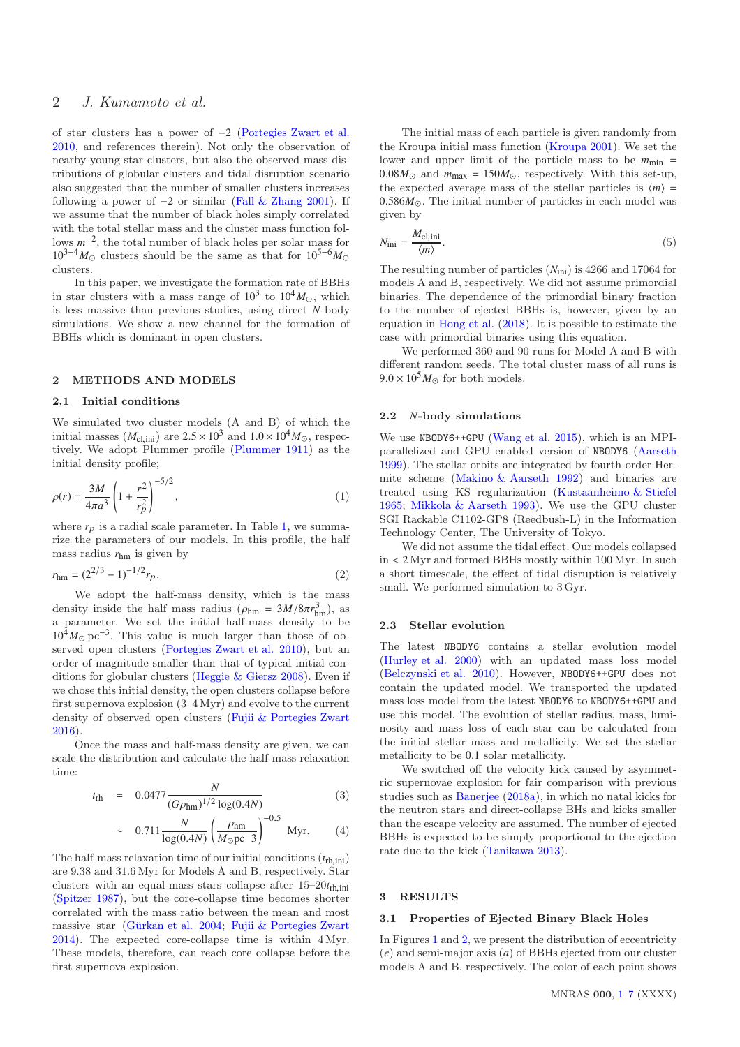of star clusters has a power of −2 [\(Portegies Zwart et al.](#page-6-28) [2010](#page-6-28), and references therein). Not only the observation of nearby young star clusters, but also the observed mass distributions of globular clusters and tidal disruption scenario also suggested that the number of smaller clusters increases following a power of  $-2$  or similar [\(Fall & Zhang 2001](#page-6-29)). If we assume that the number of black holes simply correlated with the total stellar mass and the cluster mass function follows *m* −2 , the total number of black holes per solar mass for  $10^{3-4}M_{\odot}$  clusters should be the same as that for  $10^{5-6}M_{\odot}$ clusters.

In this paper, we investigate the formation rate of BBHs in star clusters with a mass range of  $10^3$  to  $10^4 M_{\odot}$ , which is less massive than previous studies, using direct *N*-body simulations. We show a new channel for the formation of BBHs which is dominant in open clusters.

#### 2 METHODS AND MODELS

# 2.1 Initial conditions

We simulated two cluster models (A and B) of which the initial masses  $(M_{\text{cl,ini}})$  are  $2.5 \times 10^3$  and  $1.0 \times 10^4 M_{\odot}$ , respectively. We adopt Plummer profile [\(Plummer 1911](#page-6-30)) as the initial density profile;

$$
\rho(r) = \frac{3M}{4\pi a^3} \left( 1 + \frac{r^2}{r_p^2} \right)^{-5/2},\tag{1}
$$

where  $r_p$  is a radial scale parameter. In Table [1,](#page-2-0) we summarize the parameters of our models. In this profile, the half mass radius  $r_{\text{hm}}$  is given by

$$
r_{\rm hm} = (2^{2/3} - 1)^{-1/2} r_p. \tag{2}
$$

We adopt the half-mass density, which is the mass density inside the half mass radius  $(\rho_{hm} = 3M/8\pi r_{hm}^3)$ , as a parameter. We set the initial half-mass density to be  $10^4 M_{\odot} \,\mathrm{pc}^{-3}$ . This value is much larger than those of observed open clusters [\(Portegies Zwart et al. 2010](#page-6-28)), but an order of magnitude smaller than that of typical initial conditions for globular clusters [\(Heggie & Giersz 2008](#page-6-23)). Even if we chose this initial density, the open clusters collapse before first supernova explosion (3–4 Myr) and evolve to the current density of observed open clusters [\(Fujii & Portegies Zwart](#page-6-31) [2016](#page-6-31)).

Once the mass and half-mass density are given, we can scale the distribution and calculate the half-mass relaxation time:

$$
t_{\rm rh} = 0.0477 \frac{N}{(G\rho_{\rm hm})^{1/2} \log(0.4N)} \tag{3}
$$

$$
\sim 0.711 \frac{N}{\log(0.4N)} \left(\frac{\rho_{\rm hm}}{M_{\odot} \text{pc}^{-3}}\right)^{-0.5} \text{Myr.} \tag{4}
$$

The half-mass relaxation time of our initial conditions  $(t_{\text{rh,ini}})$ are 9.38 and 31.6 Myr for Models A and B, respectively. Star clusters with an equal-mass stars collapse after 15–20*t*rh,ini [\(Spitzer 1987\)](#page-6-32), but the core-collapse time becomes shorter correlated with the mass ratio between the mean and most massive star (Gürkan et al. 2004; [Fujii & Portegies Zwart](#page-6-34) [2014](#page-6-34)). The expected core-collapse time is within 4 Myr. These models, therefore, can reach core collapse before the first supernova explosion.

The initial mass of each particle is given randomly from the Kroupa initial mass function [\(Kroupa 2001\)](#page-6-35). We set the lower and upper limit of the particle mass to be  $m_{\text{min}} =$  $0.08M_{\odot}$  and  $m_{\text{max}} = 150M_{\odot}$ , respectively. With this set-up, the expected average mass of the stellar particles is  $\langle m \rangle$  = 0.586 $M_{\odot}$ . The initial number of particles in each model was given by

$$
N_{\rm ini} = \frac{M_{\rm cl,ini}}{\langle m \rangle}.\tag{5}
$$

The resulting number of particles (*N*ini) is 4266 and 17064 for models A and B, respectively. We did not assume primordial binaries. The dependence of the primordial binary fraction to the number of ejected BBHs is, however, given by an equation in [Hong et al.](#page-6-22) [\(2018](#page-6-22)). It is possible to estimate the case with primordial binaries using this equation.

We performed 360 and 90 runs for Model A and B with different random seeds. The total cluster mass of all runs is  $9.0 \times 10^5 M_{\odot}$  for both models.

### 2.2 *N*-body simulations

We use NBODY6++GPU [\(Wang et al. 2015](#page-6-36)), which is an MPIparallelized and GPU enabled version of NBODY6 [\(Aarseth](#page-6-37) [1999](#page-6-37)). The stellar orbits are integrated by fourth-order Hermite scheme [\(Makino & Aarseth 1992](#page-6-38)) and binaries are treated using KS regularization [\(Kustaanheimo & Stiefel](#page-6-39) [1965](#page-6-39); [Mikkola & Aarseth 1993](#page-6-40)). We use the GPU cluster SGI Rackable C1102-GP8 (Reedbush-L) in the Information Technology Center, The University of Tokyo.

We did not assume the tidal effect. Our models collapsed in < 2 Myr and formed BBHs mostly within 100 Myr. In such a short timescale, the effect of tidal disruption is relatively small. We performed simulation to 3 Gyr.

#### 2.3 Stellar evolution

The latest NBODY6 contains a stellar evolution model [\(Hurley et al. 2000](#page-6-41)) with an updated mass loss model [\(Belczynski et al. 2010](#page-6-42)). However, NBODY6++GPU does not contain the updated model. We transported the updated mass loss model from the latest NBODY6 to NBODY6++GPU and use this model. The evolution of stellar radius, mass, luminosity and mass loss of each star can be calculated from the initial stellar mass and metallicity. We set the stellar metallicity to be 0.1 solar metallicity.

We switched off the velocity kick caused by asymmetric supernovae explosion for fair comparison with previous studies such as [Banerjee](#page-6-26) [\(2018a](#page-6-26)), in which no natal kicks for the neutron stars and direct-collapse BHs and kicks smaller than the escape velocity are assumed. The number of ejected BBHs is expected to be simply proportional to the ejection rate due to the kick [\(Tanikawa 2013](#page-6-15)).

#### 3 RESULTS

#### 3.1 Properties of Ejected Binary Black Holes

In Figures [1](#page-2-1) and [2,](#page-2-2) we present the distribution of eccentricity (*e*) and semi-major axis (*a*) of BBHs ejected from our cluster models A and B, respectively. The color of each point shows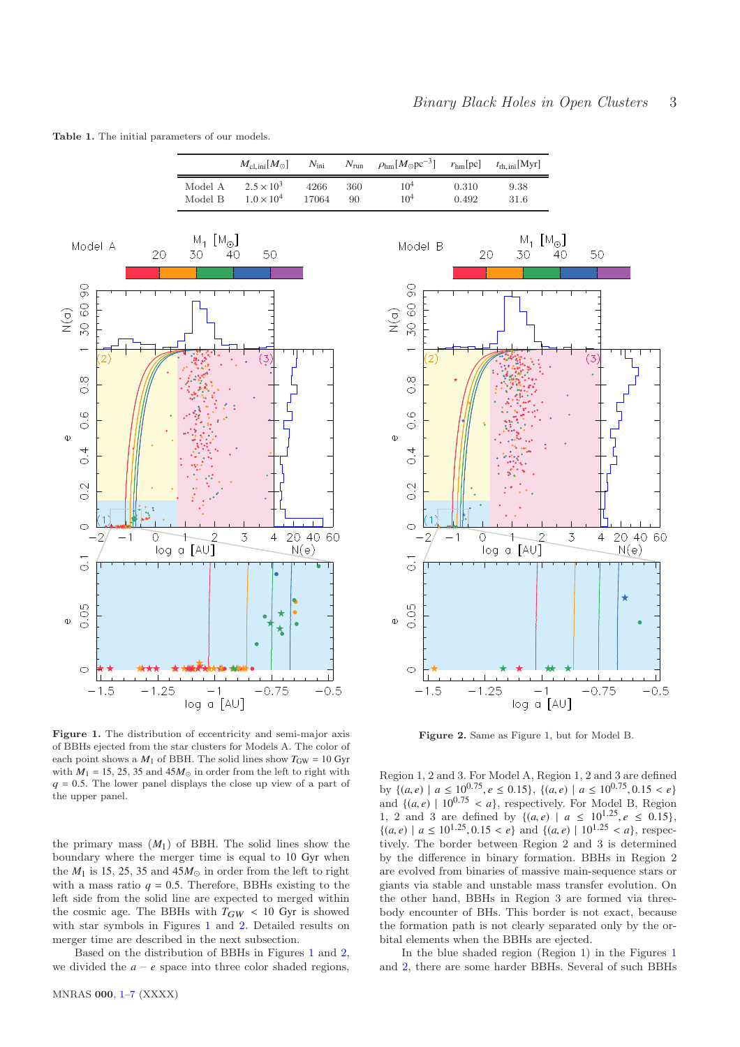$r_{\text{hm}}[pc]$   $t_{\text{rh,ini}}[Myr]$ 

Table 1. The initial parameters of our models.

 $\chi$ <sup>(o)</sup>

 $\Phi$ 

 $\ddot{\Phi}$ 

<span id="page-2-0"></span>

<span id="page-2-1"></span>Figure 1. The distribution of eccentricity and semi-major axis of BBHs ejected from the star clusters for Models A. The color of each point shows a  $M_1$  of BBH. The solid lines show  $T_{GW} = 10$  Gyr with  $M_1 = 15, 25, 35$  and  $45M_{\odot}$  in order from the left to right with  $q = 0.5$ . The lower panel displays the close up view of a part of the upper panel.

the primary mass  $(M_1)$  of BBH. The solid lines show the boundary where the merger time is equal to 10 Gyr when the  $M_1$  is 15, 25, 35 and 45 $M_{\odot}$  in order from the left to right with a mass ratio  $q = 0.5$ . Therefore, BBHs existing to the left side from the solid line are expected to merged within the cosmic age. The BBHs with  $T_{GW}$  < 10 Gyr is showed with star symbols in Figures [1](#page-2-1) and [2.](#page-2-2) Detailed results on merger time are described in the next subsection.

Based on the distribution of BBHs in Figures [1](#page-2-1) and [2,](#page-2-2) we divided the  $a - e$  space into three color shaded regions,



<span id="page-2-2"></span>Figure 2. Same as Figure [1,](#page-2-1) but for Model B.

Region 1, 2 and 3. For Model A, Region 1, 2 and 3 are defined by  $\{(a, e) | a \le 10^{0.75}, e \le 0.15\}, \{(a, e) | a \le 10^{0.75}, 0.15 < e\}$ and  $\{(a, e) \mid 10^{0.75} \le a\}$ , respectively. For Model B, Region 1, 2 and 3 are defined by  $\{(a, e) | a \leq 10^{1.25}, e \leq 0.15\}$ ,  $\{(a, e) | a \le 10^{1.25}, 0.15 < e\}$  and  $\{(a, e) | 10^{1.25} < a\}$ , respectively. The border between Region 2 and 3 is determined by the difference in binary formation. BBHs in Region 2 are evolved from binaries of massive main-sequence stars or giants via stable and unstable mass transfer evolution. On the other hand, BBHs in Region 3 are formed via threebody encounter of BHs. This border is not exact, because the formation path is not clearly separated only by the orbital elements when the BBHs are ejected.

In the blue shaded region (Region 1) in the Figures [1](#page-2-1) and [2,](#page-2-2) there are some harder BBHs. Several of such BBHs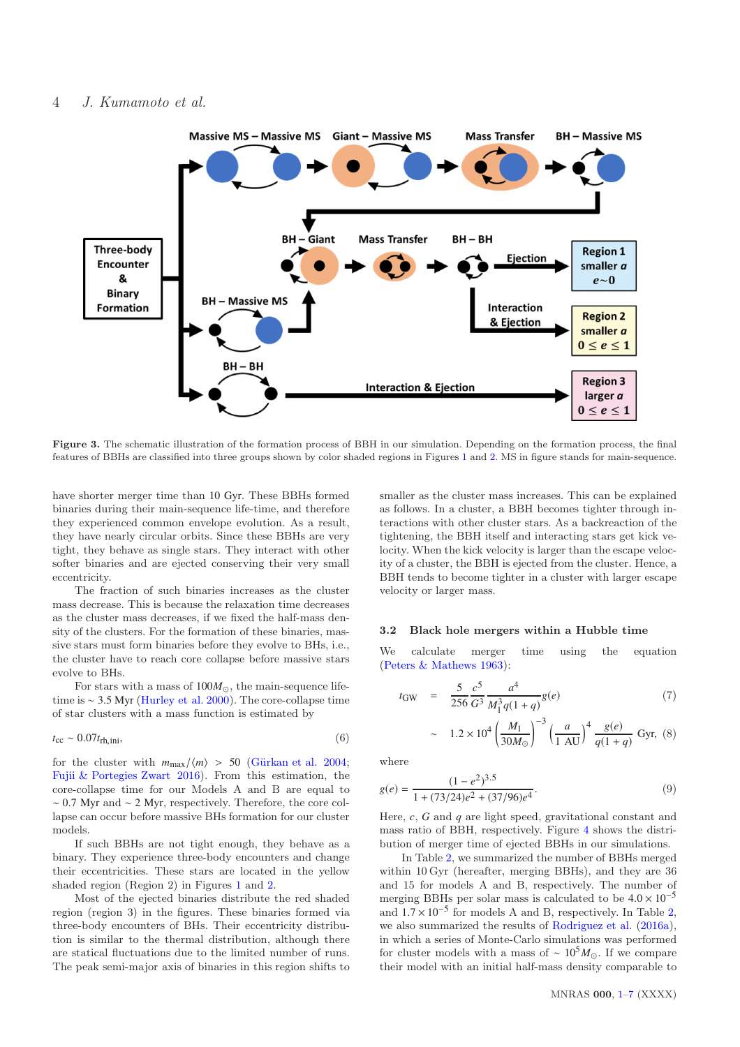# 4 J. Kumamoto et al.



Figure 3. The schematic illustration of the formation process of BBH in our simulation. Depending on the formation process, the final features of BBHs are classified into three groups shown by color shaded regions in Figures [1](#page-2-1) and [2.](#page-2-2) MS in figure stands for main-sequence.

have shorter merger time than 10 Gyr. These BBHs formed binaries during their main-sequence life-time, and therefore they experienced common envelope evolution. As a result, they have nearly circular orbits. Since these BBHs are very tight, they behave as single stars. They interact with other softer binaries and are ejected conserving their very small eccentricity.

The fraction of such binaries increases as the cluster mass decrease. This is because the relaxation time decreases as the cluster mass decreases, if we fixed the half-mass density of the clusters. For the formation of these binaries, massive stars must form binaries before they evolve to BHs, i.e., the cluster have to reach core collapse before massive stars evolve to BHs.

For stars with a mass of  $100M_{\odot}$ , the main-sequence lifetime is ∼ 3.5 Myr [\(Hurley et al. 2000](#page-6-41)). The core-collapse time of star clusters with a mass function is estimated by

$$
t_{\rm cc} \sim 0.07 t_{\rm rh,ini},\tag{6}
$$

for the cluster with  $m_{\text{max}}/\langle m \rangle$  > 50 (Gürkan et al. 2004; [Fujii & Portegies Zwart 2016\)](#page-6-31). From this estimation, the core-collapse time for our Models A and B are equal to ∼ 0.7 Myr and ∼ 2 Myr, respectively. Therefore, the core collapse can occur before massive BHs formation for our cluster models.

If such BBHs are not tight enough, they behave as a binary. They experience three-body encounters and change their eccentricities. These stars are located in the yellow shaded region (Region 2) in Figures [1](#page-2-1) and [2.](#page-2-2)

Most of the ejected binaries distribute the red shaded region (region 3) in the figures. These binaries formed via three-body encounters of BHs. Their eccentricity distribution is similar to the thermal distribution, although there are statical fluctuations due to the limited number of runs. The peak semi-major axis of binaries in this region shifts to

smaller as the cluster mass increases. This can be explained as follows. In a cluster, a BBH becomes tighter through interactions with other cluster stars. As a backreaction of the tightening, the BBH itself and interacting stars get kick velocity. When the kick velocity is larger than the escape velocity of a cluster, the BBH is ejected from the cluster. Hence, a BBH tends to become tighter in a cluster with larger escape velocity or larger mass.

#### 3.2 Black hole mergers within a Hubble time

We calculate merger time using the equation [\(Peters & Mathews 1963](#page-6-43)):

$$
t_{\rm GW} = \frac{5}{256} \frac{c^5}{G^3} \frac{a^4}{M_1^3 q(1+q)} g(e) \tag{7}
$$

$$
\sim 1.2 \times 10^4 \left(\frac{M_1}{30M_{\odot}}\right)^{-3} \left(\frac{a}{1 \text{ AU}}\right)^4 \frac{g(e)}{q(1+q)} \text{ Gyr, (8)}
$$

where

$$
g(e) = \frac{(1 - e^2)^{3.5}}{1 + (73/24)e^2 + (37/96)e^4}.
$$
\n(9)

Here, *c*, *G* and *q* are light speed, gravitational constant and mass ratio of BBH, respectively. Figure [4](#page-4-0) shows the distribution of merger time of ejected BBHs in our simulations.

In Table [2,](#page-4-1) we summarized the number of BBHs merged within 10 Gyr (hereafter, merging BBHs), and they are 36 and 15 for models A and B, respectively. The number of merging BBHs per solar mass is calculated to be  $4.0 \times 10^{-5}$ and  $1.7 \times 10^{-5}$  for models A and B, respectively. In Table [2,](#page-4-1) we also summarized the results of [Rodriguez et al.](#page-6-18) [\(2016a](#page-6-18)), in which a series of Monte-Carlo simulations was performed for cluster models with a mass of ~  $10^5 M_{\odot}$ . If we compare their model with an initial half-mass density comparable to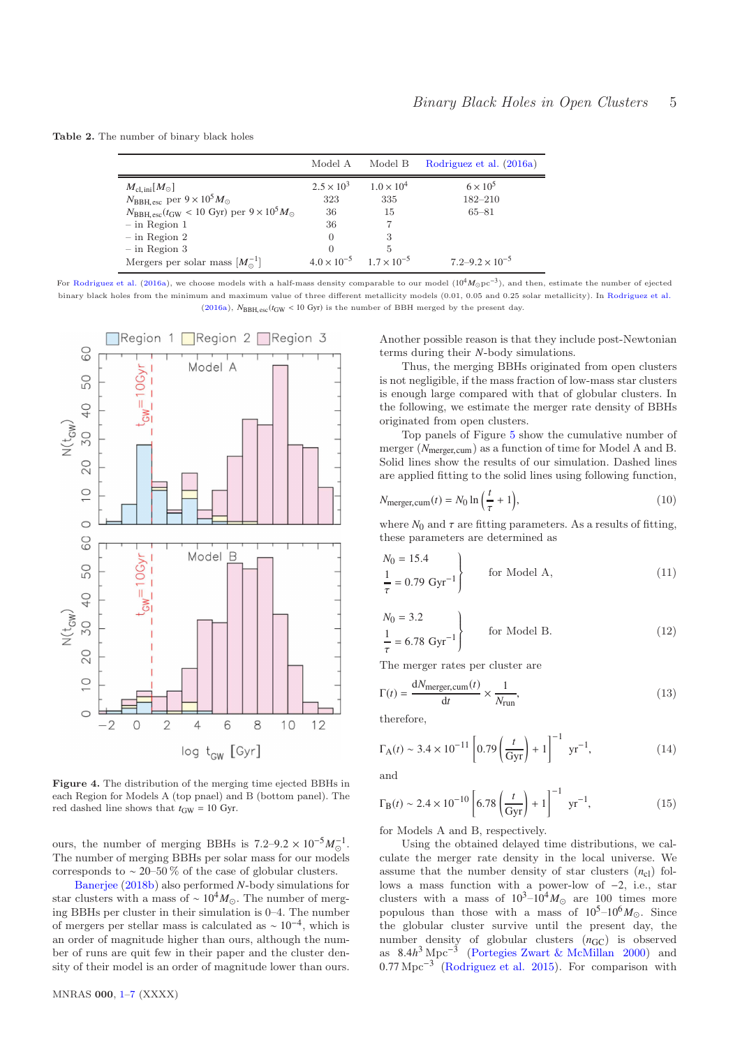Table 2. The number of binary black holes

<span id="page-4-1"></span>

|                                                                                           | Model A                                   | Model B             | Rodriguez et al. (2016a)   |
|-------------------------------------------------------------------------------------------|-------------------------------------------|---------------------|----------------------------|
| $M_{\rm cl. \, ini} [M_{\odot}]$                                                          | $2.5 \times 10^{3}$                       | $1.0 \times 10^{4}$ | $6 \times 10^5$            |
| $N_{\rm BBH, esc}$ per $9 \times 10^5 M_{\odot}$                                          | 323                                       | 335                 | $182 - 210$                |
| $N_{\text{BBH,esc}}(t_{\text{GW}} < 10 \text{ Gyr}) \text{ per } 9 \times 10^5 M_{\odot}$ | 36                                        | 15                  | $65 - 81$                  |
| $-$ in Region 1                                                                           | 36                                        |                     |                            |
| $-$ in Region 2                                                                           | $\Omega$                                  | 3                   |                            |
| $-$ in Region 3                                                                           | 0                                         | 5                   |                            |
| Mergers per solar mass $[M_{\odot}^{-1}]$                                                 | $4.0 \times 10^{-5}$ $1.7 \times 10^{-5}$ |                     | $7.2 - 9.2 \times 10^{-5}$ |

For [Rodriguez et al.](#page-6-18) [\(2016a\)](#page-6-18), we choose models with a half-mass density comparable to our model  $(10^4M_{\odot} \text{pc}^{-3})$ , and then, estimate the number of ejected binary black holes from the minimum and maximum value of three different metallicity models (0.01, 0.05 and 0.25 solar metallicity). In [Rodriguez et al.](#page-6-18) [\(2016a\)](#page-6-18),  $N_{\text{BBH,esc}}(t_{\text{GW}} < 10 \text{ Gyr})$  is the number of BBH merged by the present day.



<span id="page-4-0"></span>Figure 4. The distribution of the merging time ejected BBHs in each Region for Models A (top pnael) and B (bottom panel). The red dashed line shows that  $t_{GW} = 10$  Gyr.

ours, the number of merging BBHs is  $7.2-9.2 \times 10^{-5} M_{\odot}^{-1}$ . The number of merging BBHs per solar mass for our models corresponds to  $\sim$  20–50 % of the case of globular clusters.

[Banerjee](#page-6-27) [\(2018b](#page-6-27)) also performed *N*-body simulations for star clusters with a mass of ~  $10^4 M_{\odot}$ . The number of merging BBHs per cluster in their simulation is 0–4. The number of mergers per stellar mass is calculated as  $\sim 10^{-4}$ , which is an order of magnitude higher than ours, although the number of runs are quit few in their paper and the cluster density of their model is an order of magnitude lower than ours. Another possible reason is that they include post-Newtonian terms during their *N*-body simulations.

Thus, the merging BBHs originated from open clusters is not negligible, if the mass fraction of low-mass star clusters is enough large compared with that of globular clusters. In the following, we estimate the merger rate density of BBHs originated from open clusters.

Top panels of Figure [5](#page-5-1) show the cumulative number of merger ( $N_{\text{merger,cum}}$ ) as a function of time for Model A and B. Solid lines show the results of our simulation. Dashed lines are applied fitting to the solid lines using following function,

<span id="page-4-2"></span>
$$
N_{\text{merger, cum}}(t) = N_0 \ln\left(\frac{t}{\tau} + 1\right),\tag{10}
$$

where  $N_0$  and  $\tau$  are fitting parameters. As a results of fitting, these parameters are determined as

$$
\begin{aligned}\nN_0 &= 15.4 \\
\frac{1}{\tau} &= 0.79 \, \text{Gyr}^{-1}\n\end{aligned}\n\quad \text{for Model A},\n\tag{11}
$$

$$
\begin{cases}\nN_0 = 3.2 \\
\frac{1}{\tau} = 6.78 \, \text{Gyr}^{-1}\n\end{cases}\n\text{ for Model B.}\n\tag{12}
$$

The merger rates per cluster are

$$
\Gamma(t) = \frac{dN_{\text{merger, cum}}(t)}{dt} \times \frac{1}{N_{\text{run}}},
$$
\n(13)

therefore,

$$
\Gamma_A(t) \sim 3.4 \times 10^{-11} \left[ 0.79 \left( \frac{t}{\text{Gyr}} \right) + 1 \right]^{-1} \text{ yr}^{-1},
$$
\n(14)

and

$$
\Gamma_{\rm B}(t) \sim 2.4 \times 10^{-10} \left[ 6.78 \left( \frac{t}{\rm Gyr} \right) + 1 \right]^{-1} \, \text{yr}^{-1},\tag{15}
$$

for Models A and B, respectively.

Using the obtained delayed time distributions, we calculate the merger rate density in the local universe. We assume that the number density of star clusters  $(n_{\text{cl}})$  follows a mass function with a power-low of −2, i.e., star clusters with a mass of  $10^3-10^4 M_{\odot}$  are 100 times more populous than those with a mass of  $10^5-10^6M_{\odot}$ . Since the globular cluster survive until the present day, the number density of globular clusters  $(n<sub>GC</sub>)$  is observed as 8.4*h* <sup>3</sup> Mpc−<sup>3</sup> [\(Portegies Zwart & McMillan 2000](#page-6-7)) and 0.77 Mpc−<sup>3</sup> [\(Rodriguez et al. 2015\)](#page-6-17). For comparison with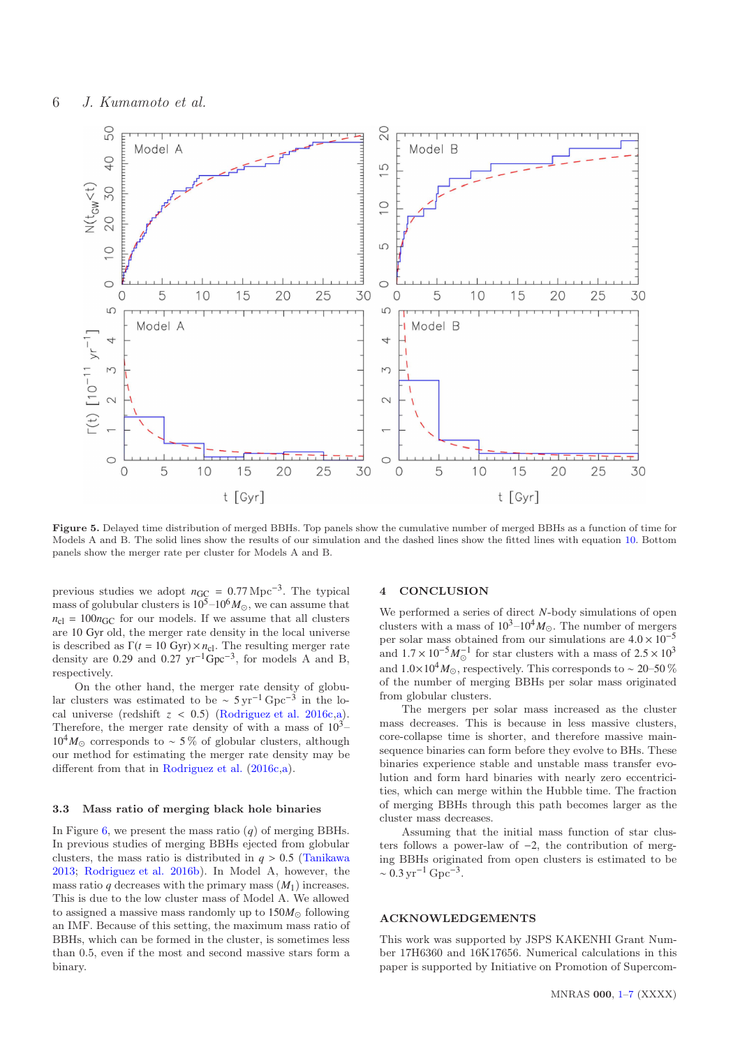

<span id="page-5-1"></span>Figure 5. Delayed time distribution of merged BBHs. Top panels show the cumulative number of merged BBHs as a function of time for Models A and B. The solid lines show the results of our simulation and the dashed lines show the fitted lines with equation [10.](#page-4-2) Bottom panels show the merger rate per cluster for Models A and B.

previous studies we adopt  $n_{\text{GC}} = 0.77 \,\text{Mpc}^{-3}$ . The typical mass of golubular clusters is  $10^5-10^6 M_{\odot}$ , we can assume that  $n_{\text{cl}} = 100n_{\text{GC}}$  for our models. If we assume that all clusters are 10 Gyr old, the merger rate density in the local universe is described as  $\Gamma(t = 10 \text{ Gyr}) \times n_{\text{cl}}$ . The resulting merger rate density are 0.29 and 0.27  $yr^{-1}Gpc^{-3}$ , for models A and B, respectively.

On the other hand, the merger rate density of globular clusters was estimated to be  $\sim 5 \,\mathrm{yr}^{-1} \,\mathrm{Gpc}^{-3}$  in the local universe (redshift  $z < 0.5$ ) [\(Rodriguez et al. 2016c](#page-6-44)[,a](#page-6-18)). Therefore, the merger rate density of with a mass of  $10^3$ –  $10<sup>4</sup>M<sub>⊙</sub>$  corresponds to ~ 5% of globular clusters, although our method for estimating the merger rate density may be different from that in [Rodriguez et al.](#page-6-44) [\(2016c](#page-6-44)[,a](#page-6-18)).

### 3.3 Mass ratio of merging black hole binaries

In Figure [6,](#page-6-45) we present the mass ratio  $(q)$  of merging BBHs. In previous studies of merging BBHs ejected from globular clusters, the mass ratio is distributed in  $q > 0.5$  [\(Tanikawa](#page-6-15) [2013](#page-6-15); [Rodriguez et al. 2016b](#page-6-46)). In Model A, however, the mass ratio *q* decreases with the primary mass  $(M_1)$  increases. This is due to the low cluster mass of Model A. We allowed to assigned a massive mass randomly up to  $150M_{\odot}$  following an IMF. Because of this setting, the maximum mass ratio of BBHs, which can be formed in the cluster, is sometimes less than 0.5, even if the most and second massive stars form a binary.

#### <span id="page-5-0"></span>4 CONCLUSION

We performed a series of direct *N*-body simulations of open clusters with a mass of  $10^3-10^4 M_{\odot}$ . The number of mergers per solar mass obtained from our simulations are  $4.0 \times 10^{-5}$ and  $1.7 \times 10^{-5} M_{\odot}^{-1}$  for star clusters with a mass of  $2.5 \times 10^{3}$ and  $1.0\times10^4M_{\odot}$ , respectively. This corresponds to ~ 20–50 % of the number of merging BBHs per solar mass originated from globular clusters.

The mergers per solar mass increased as the cluster mass decreases. This is because in less massive clusters, core-collapse time is shorter, and therefore massive mainsequence binaries can form before they evolve to BHs. These binaries experience stable and unstable mass transfer evolution and form hard binaries with nearly zero eccentricities, which can merge within the Hubble time. The fraction of merging BBHs through this path becomes larger as the cluster mass decreases.

Assuming that the initial mass function of star clusters follows a power-law of −2, the contribution of merging BBHs originated from open clusters is estimated to be  $\sim 0.3 \,\mathrm{yr}^{-1} \,\mathrm{Gpc}^{-3}.$ 

## ACKNOWLEDGEMENTS

This work was supported by JSPS KAKENHI Grant Number 17H6360 and 16K17656. Numerical calculations in this paper is supported by Initiative on Promotion of Supercom-